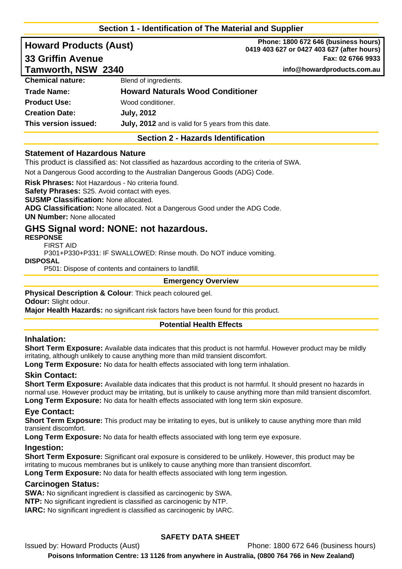# **Section 1 - Identification of The Material and Supplier**

| <b>Howard Products (Aust)</b><br><b>33 Griffin Avenue</b><br>Tamworth, NSW  2340 |                                                                                             | Phone: 1800 672 646 (business hours)<br>0419 403 627 or 0427 403 627 (after hours)<br>Fax: 02 6766 9933<br>info@howardproducts.com.au |  |                         |                                         |  |
|----------------------------------------------------------------------------------|---------------------------------------------------------------------------------------------|---------------------------------------------------------------------------------------------------------------------------------------|--|-------------------------|-----------------------------------------|--|
|                                                                                  |                                                                                             |                                                                                                                                       |  | <b>Chemical nature:</b> | Blend of ingredients.                   |  |
|                                                                                  |                                                                                             |                                                                                                                                       |  | Trade Name:             | <b>Howard Naturals Wood Conditioner</b> |  |
| <b>Product Use:</b>                                                              | Wood conditioner.                                                                           |                                                                                                                                       |  |                         |                                         |  |
| <b>Creation Date:</b>                                                            | <b>July, 2012</b>                                                                           |                                                                                                                                       |  |                         |                                         |  |
| This version issued:                                                             | July, 2012 and is valid for 5 years from this date.                                         |                                                                                                                                       |  |                         |                                         |  |
|                                                                                  | <b>Section 2 - Hazards Identification</b>                                                   |                                                                                                                                       |  |                         |                                         |  |
| <b>Statement of Hazardous Nature</b>                                             | This product is classified as: Not classified as bazardous according to the criteria of SWA |                                                                                                                                       |  |                         |                                         |  |

This product is classified as: Not classified as hazardous according to the criteria of SWA.

Not a Dangerous Good according to the Australian Dangerous Goods (ADG) Code.

**Risk Phrases:** Not Hazardous - No criteria found.

**Safety Phrases:** S25. Avoid contact with eyes.

**SUSMP Classification:** None allocated.

**ADG Classification:** None allocated. Not a Dangerous Good under the ADG Code.

**UN Number:** None allocated

# **GHS Signal word: NONE: not hazardous.**

**RESPONSE** 

FIRST AID

P301+P330+P331: IF SWALLOWED: Rinse mouth. Do NOT induce vomiting.

#### **DISPOSAL**

P501: Dispose of contents and containers to landfill.

### **Emergency Overview**

**Physical Description & Colour**: Thick peach coloured gel.

**Odour:** Slight odour.

**Major Health Hazards:** no significant risk factors have been found for this product.

## **Potential Health Effects**

## **Inhalation:**

**Short Term Exposure:** Available data indicates that this product is not harmful. However product may be mildly irritating, although unlikely to cause anything more than mild transient discomfort.

**Long Term Exposure:** No data for health effects associated with long term inhalation.

## **Skin Contact:**

**Short Term Exposure:** Available data indicates that this product is not harmful. It should present no hazards in normal use. However product may be irritating, but is unlikely to cause anything more than mild transient discomfort. **Long Term Exposure:** No data for health effects associated with long term skin exposure.

## **Eye Contact:**

**Short Term Exposure:** This product may be irritating to eyes, but is unlikely to cause anything more than mild transient discomfort.

**Long Term Exposure:** No data for health effects associated with long term eye exposure.

#### **Ingestion:**

**Short Term Exposure:** Significant oral exposure is considered to be unlikely. However, this product may be irritating to mucous membranes but is unlikely to cause anything more than transient discomfort. **Long Term Exposure:** No data for health effects associated with long term ingestion.

## **Carcinogen Status:**

**SWA:** No significant ingredient is classified as carcinogenic by SWA.

**NTP:** No significant ingredient is classified as carcinogenic by NTP.

**IARC:** No significant ingredient is classified as carcinogenic by IARC.

# **SAFETY DATA SHEET**

Issued by: Howard Products (Aust) Phone: 1800 672 646 (business hours) **Poisons Information Centre: 13 1126 from anywhere in Australia, (0800 764 766 in New Zealand)**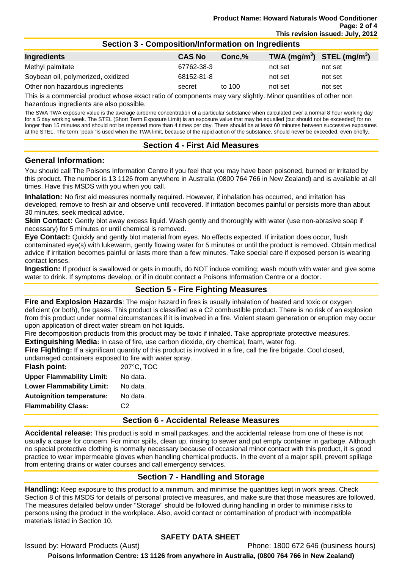### **Section 3 - Composition/Information on Ingredients**

| Ingredients                        | <b>CAS No</b> | Conc.% | TWA (mg/m <sup>3</sup> ) STEL (mg/m <sup>3</sup> ) |         |
|------------------------------------|---------------|--------|----------------------------------------------------|---------|
| Methyl palmitate                   | 67762-38-3    |        | not set                                            | not set |
| Soybean oil, polymerized, oxidized | 68152-81-8    |        | not set                                            | not set |
| Other non hazardous ingredients    | secret        | to 100 | not set                                            | not set |

This is a commercial product whose exact ratio of components may vary slightly. Minor quantities of other non hazardous ingredients are also possible.

The SWA TWA exposure value is the average airborne concentration of a particular substance when calculated over a normal 8 hour working day for a 5 day working week. The STEL (Short Term Exposure Limit) is an exposure value that may be equalled (but should not be exceeded) for no longer than 15 minutes and should not be repeated more than 4 times per day. There should be at least 60 minutes between successive exposures at the STEL. The term "peak "is used when the TWA limit, because of the rapid action of the substance, should never be exceeded, even briefly.

## **Section 4 - First Aid Measures**

#### **General Information:**

You should call The Poisons Information Centre if you feel that you may have been poisoned, burned or irritated by this product. The number is 13 1126 from anywhere in Australia (0800 764 766 in New Zealand) and is available at all times. Have this MSDS with you when you call.

**Inhalation:** No first aid measures normally required. However, if inhalation has occurred, and irritation has developed, remove to fresh air and observe until recovered. If irritation becomes painful or persists more than about 30 minutes, seek medical advice.

**Skin Contact:** Gently blot away excess liquid. Wash gently and thoroughly with water (use non-abrasive soap if necessary) for 5 minutes or until chemical is removed.

**Eye Contact:** Quickly and gently blot material from eyes. No effects expected. If irritation does occur, flush contaminated eye(s) with lukewarm, gently flowing water for 5 minutes or until the product is removed. Obtain medical advice if irritation becomes painful or lasts more than a few minutes. Take special care if exposed person is wearing contact lenses.

**Ingestion:** If product is swallowed or gets in mouth, do NOT induce vomiting; wash mouth with water and give some water to drink. If symptoms develop, or if in doubt contact a Poisons Information Centre or a doctor.

## **Section 5 - Fire Fighting Measures**

**Fire and Explosion Hazards**: The major hazard in fires is usually inhalation of heated and toxic or oxygen deficient (or both), fire gases. This product is classified as a C2 combustible product. There is no risk of an explosion from this product under normal circumstances if it is involved in a fire. Violent steam generation or eruption may occur upon application of direct water stream on hot liquids.

Fire decomposition products from this product may be toxic if inhaled. Take appropriate protective measures. **Extinguishing Media:** In case of fire, use carbon dioxide, dry chemical, foam, water fog.

**Fire Fighting:** If a significant quantity of this product is involved in a fire, call the fire brigade. Cool closed, undamaged containers exposed to fire with water spray.

**Flash point:** 207°C, TOC **Upper Flammability Limit:** No data. Lower Flammability Limit: No data. **Autoignition temperature:** No data. **Flammability Class:** C2

#### **Section 6 - Accidental Release Measures**

**Accidental release:** This product is sold in small packages, and the accidental release from one of these is not usually a cause for concern. For minor spills, clean up, rinsing to sewer and put empty container in garbage. Although no special protective clothing is normally necessary because of occasional minor contact with this product, it is good practice to wear impermeable gloves when handling chemical products. In the event of a major spill, prevent spillage from entering drains or water courses and call emergency services.

## **Section 7 - Handling and Storage**

**Handling:** Keep exposure to this product to a minimum, and minimise the quantities kept in work areas. Check Section 8 of this MSDS for details of personal protective measures, and make sure that those measures are followed. The measures detailed below under "Storage" should be followed during handling in order to minimise risks to persons using the product in the workplace. Also, avoid contact or contamination of product with incompatible materials listed in Section 10.

# **SAFETY DATA SHEET**

Issued by: Howard Products (Aust) Phone: 1800 672 646 (business hours)

**Poisons Information Centre: 13 1126 from anywhere in Australia, (0800 764 766 in New Zealand)**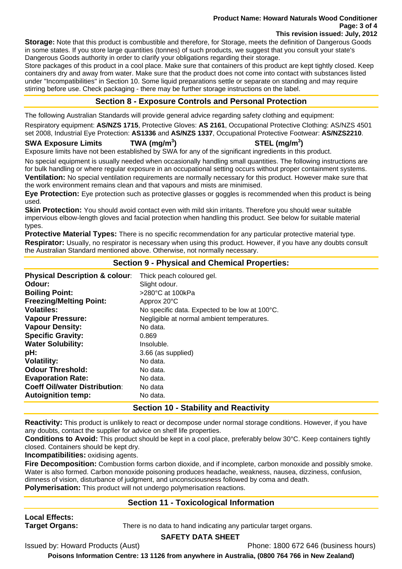#### **Product Name: Howard Naturals Wood Conditioner Page: 3 of 4 This revision issued: July, 2012**

**Storage:** Note that this product is combustible and therefore, for Storage, meets the definition of Dangerous Goods in some states. If you store large quantities (tonnes) of such products, we suggest that you consult your state's Dangerous Goods authority in order to clarify your obligations regarding their storage.

Store packages of this product in a cool place. Make sure that containers of this product are kept tightly closed. Keep containers dry and away from water. Make sure that the product does not come into contact with substances listed under "Incompatibilities" in Section 10. Some liquid preparations settle or separate on standing and may require stirring before use. Check packaging - there may be further storage instructions on the label.

# **Section 8 - Exposure Controls and Personal Protection**

The following Australian Standards will provide general advice regarding safety clothing and equipment: Respiratory equipment: **AS/NZS 1715**, Protective Gloves: **AS 2161**, Occupational Protective Clothing: AS/NZS 4501 set 2008, Industrial Eye Protection: **AS1336** and **AS/NZS 1337**, Occupational Protective Footwear: **AS/NZS2210**.

## **SWA Exposure Limits TWA (mg/m<sup>3</sup>**

**) STEL (mg/m<sup>3</sup> )** 

Exposure limits have not been established by SWA for any of the significant ingredients in this product.

No special equipment is usually needed when occasionally handling small quantities. The following instructions are for bulk handling or where regular exposure in an occupational setting occurs without proper containment systems. **Ventilation:** No special ventilation requirements are normally necessary for this product. However make sure that the work environment remains clean and that vapours and mists are minimised.

**Eye Protection:** Eye protection such as protective glasses or goggles is recommended when this product is being used.

**Skin Protection:** You should avoid contact even with mild skin irritants. Therefore you should wear suitable impervious elbow-length gloves and facial protection when handling this product. See below for suitable material types.

**Protective Material Types:** There is no specific recommendation for any particular protective material type. **Respirator:** Usually, no respirator is necessary when using this product. However, if you have any doubts consult the Australian Standard mentioned above. Otherwise, not normally necessary.

# **Section 9 - Physical and Chemical Properties:**

| <b>Physical Description &amp; colour:</b> | Thick peach coloured gel.                      |
|-------------------------------------------|------------------------------------------------|
| Odour:                                    | Slight odour.                                  |
| <b>Boiling Point:</b>                     | $>280^{\circ}$ C at 100kPa                     |
| <b>Freezing/Melting Point:</b>            | Approx 20°C                                    |
| <b>Volatiles:</b>                         | No specific data. Expected to be low at 100°C. |
| <b>Vapour Pressure:</b>                   | Negligible at normal ambient temperatures.     |
| <b>Vapour Density:</b>                    | No data.                                       |
| <b>Specific Gravity:</b>                  | 0.869                                          |
| <b>Water Solubility:</b>                  | Insoluble.                                     |
| pH:                                       | 3.66 (as supplied)                             |
| <b>Volatility:</b>                        | No data.                                       |
| <b>Odour Threshold:</b>                   | No data.                                       |
| <b>Evaporation Rate:</b>                  | No data.                                       |
| <b>Coeff Oil/water Distribution:</b>      | No data                                        |
| <b>Autoignition temp:</b>                 | No data.                                       |

# **Section 10 - Stability and Reactivity**

**Reactivity:** This product is unlikely to react or decompose under normal storage conditions. However, if you have any doubts, contact the supplier for advice on shelf life properties.

**Conditions to Avoid:** This product should be kept in a cool place, preferably below 30°C. Keep containers tightly closed. Containers should be kept dry.

**Incompatibilities:** oxidising agents.

**Fire Decomposition:** Combustion forms carbon dioxide, and if incomplete, carbon monoxide and possibly smoke. Water is also formed. Carbon monoxide poisoning produces headache, weakness, nausea, dizziness, confusion, dimness of vision, disturbance of judgment, and unconsciousness followed by coma and death.

**Polymerisation:** This product will not undergo polymerisation reactions.

# **Section 11 - Toxicological Information**

**Local Effects:** 

**Target Organs:** There is no data to hand indicating any particular target organs.

## **SAFETY DATA SHEET**

Issued by: Howard Products (Aust) Phone: 1800 672 646 (business hours)

**Poisons Information Centre: 13 1126 from anywhere in Australia, (0800 764 766 in New Zealand)**